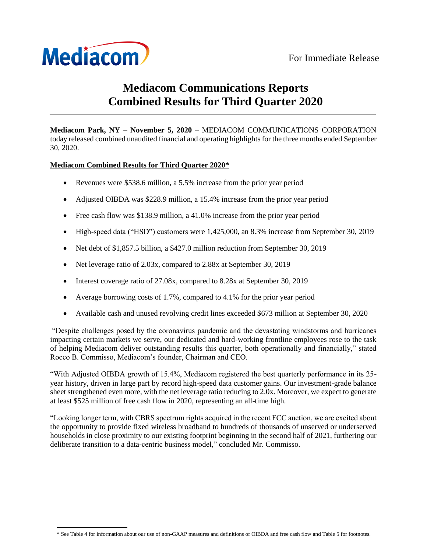

# **Mediacom Communications Reports Combined Results for Third Quarter 2020**

**Mediacom Park, NY – November 5, 2020** – MEDIACOM COMMUNICATIONS CORPORATION today released combined unaudited financial and operating highlights for the three months ended September 30, 2020.

# **Mediacom Combined Results for Third Quarter 2020\***

- Revenues were \$538.6 million, a 5.5% increase from the prior year period
- Adjusted OIBDA was \$228.9 million, a 15.4% increase from the prior year period
- Free cash flow was \$138.9 million, a 41.0% increase from the prior year period
- High-speed data ("HSD") customers were 1,425,000, an 8.3% increase from September 30, 2019
- Net debt of \$1,857.5 billion, a \$427.0 million reduction from September 30, 2019
- Net leverage ratio of 2.03x, compared to 2.88x at September 30, 2019
- Interest coverage ratio of 27.08x, compared to 8.28x at September 30, 2019
- Average borrowing costs of 1.7%, compared to 4.1% for the prior year period
- Available cash and unused revolving credit lines exceeded \$673 million at September 30, 2020

"Despite challenges posed by the coronavirus pandemic and the devastating windstorms and hurricanes impacting certain markets we serve, our dedicated and hard-working frontline employees rose to the task of helping Mediacom deliver outstanding results this quarter, both operationally and financially," stated Rocco B. Commisso, Mediacom's founder, Chairman and CEO.

"With Adjusted OIBDA growth of 15.4%, Mediacom registered the best quarterly performance in its 25 year history, driven in large part by record high-speed data customer gains. Our investment-grade balance sheet strengthened even more, with the net leverage ratio reducing to 2.0x. Moreover, we expect to generate at least \$525 million of free cash flow in 2020, representing an all-time high.

"Looking longer term, with CBRS spectrum rights acquired in the recent FCC auction, we are excited about the opportunity to provide fixed wireless broadband to hundreds of thousands of unserved or underserved households in close proximity to our existing footprint beginning in the second half of 2021, furthering our deliberate transition to a data-centric business model," concluded Mr. Commisso.

<sup>\*</sup> See Table 4 for information about our use of non-GAAP measures and definitions of OIBDA and free cash flow and Table 5 for footnotes.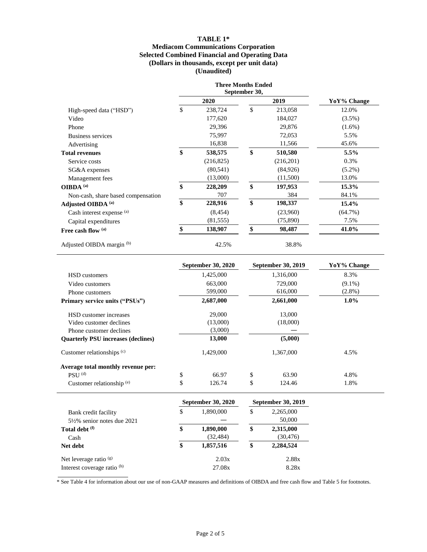# **TABLE 1\* Mediacom Communications Corporation Selected Combined Financial and Operating Data (Dollars in thousands, except per unit data) (Unaudited)**

|                                    | <b>Three Months Ended</b><br>September 30, |               |             |
|------------------------------------|--------------------------------------------|---------------|-------------|
|                                    | 2020                                       | 2019          | YoY% Change |
| High-speed data ("HSD")            | \$<br>238,724                              | \$<br>213,058 | 12.0%       |
| Video                              | 177,620                                    | 184,027       | $(3.5\%)$   |
| Phone                              | 29,396                                     | 29,876        | $(1.6\%)$   |
| Business services                  | 75,997                                     | 72,053        | 5.5%        |
| Advertising                        | 16,838                                     | 11,566        | 45.6%       |
| <b>Total revenues</b>              | \$<br>538,575                              | \$<br>510,580 | 5.5%        |
| Service costs                      | (216, 825)                                 | (216,201)     | 0.3%        |
| SG&A expenses                      | (80, 541)                                  | (84,926)      | $(5.2\%)$   |
| Management fees                    | (13,000)                                   | (11,500)      | 13.0%       |
| OIBDA <sup>(a)</sup>               | \$<br>228,209                              | \$<br>197,953 | 15.3%       |
| Non-cash, share based compensation | 707                                        | 384           | 84.1%       |
| Adjusted OIBDA (a)                 | \$<br>228,916                              | \$<br>198,337 | 15.4%       |
| Cash interest expense (a)          | (8, 454)                                   | (23,960)      | $(64.7\%)$  |
| Capital expenditures               | (81, 555)                                  | (75,890)      | 7.5%        |
| Free cash flow (a)                 | \$<br>138,907                              | \$<br>98,487  | 41.0%       |
| Adjusted OIBDA margin (b)          | 42.5%                                      | 38.8%         |             |

|                                           | <b>September 30, 2020</b> | <b>September 30, 2019</b> | YoY% Change |
|-------------------------------------------|---------------------------|---------------------------|-------------|
| <b>HSD</b> customers                      | 1,425,000                 | 1,316,000                 | 8.3%        |
| Video customers                           | 663,000                   | 729,000                   | $(9.1\%)$   |
| Phone customers                           | 599,000                   | 616,000                   | $(2.8\%)$   |
| <b>Primary service units ("PSUs")</b>     | 2,687,000                 | 2,661,000                 | $1.0\%$     |
| HSD customer increases                    | 29,000                    | 13,000                    |             |
| Video customer declines                   | (13,000)                  | (18,000)                  |             |
| Phone customer declines                   | (3,000)                   |                           |             |
| <b>Ouarterly PSU increases (declines)</b> | 13,000                    | (5,000)                   |             |
| Customer relationships $(c)$              | 1,429,000                 | 1,367,000                 | 4.5%        |
| Average total monthly revenue per:        |                           |                           |             |
| $PSU^{(d)}$                               | \$<br>66.97               | \$<br>63.90               | 4.8%        |
| Customer relationship (e)                 | \$<br>126.74              | \$<br>124.46              | 1.8%        |

|                                        | September 30, 2020 | September 30, 2019 |                                  |  |
|----------------------------------------|--------------------|--------------------|----------------------------------|--|
| Bank credit facility                   | \$<br>1,890,000    | \$                 | 2,265,000<br>50,000<br>2,315,000 |  |
| $5\frac{1}{2}\%$ senior notes due 2021 |                    |                    |                                  |  |
| Total debt (f)                         | \$<br>1,890,000    | \$                 |                                  |  |
| Cash                                   | (32, 484)          |                    | (30, 476)                        |  |
| Net debt                               | \$<br>1,857,516    | \$                 | 2,284,524                        |  |
| Net leverage ratio $(g)$               | 2.03x              |                    | 2.88x                            |  |
| Interest coverage ratio (h)            | 27.08x             |                    | 8.28x                            |  |

\* See Table 4 for information about our use of non-GAAP measures and definitions of OIBDA and free cash flow and Table 5 for footnotes.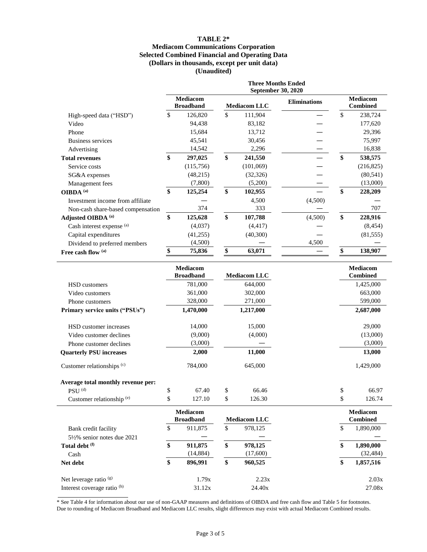# **TABLE 2\* Mediacom Communications Corporation Selected Combined Financial and Operating Data (Dollars in thousands, except per unit data) (Unaudited)**

|                                   |     | <b>Three Months Ended</b><br>September 30, 2020            |    |                     |                                    |    |            |  |  |
|-----------------------------------|-----|------------------------------------------------------------|----|---------------------|------------------------------------|----|------------|--|--|
|                                   |     | <b>Mediacom</b><br><b>Broadband</b><br><b>Mediacom LLC</b> |    | <b>Eliminations</b> | <b>Mediacom</b><br><b>Combined</b> |    |            |  |  |
| High-speed data ("HSD")           | \$. | 126,820                                                    | \$ | 111,904             |                                    | \$ | 238,724    |  |  |
| Video                             |     | 94,438                                                     |    | 83,182              |                                    |    | 177,620    |  |  |
| Phone                             |     | 15,684                                                     |    | 13,712              |                                    |    | 29,396     |  |  |
| Business services                 |     | 45,541                                                     |    | 30,456              |                                    |    | 75,997     |  |  |
| Advertising                       |     | 14,542                                                     |    | 2,296               |                                    |    | 16,838     |  |  |
| <b>Total revenues</b>             | \$  | 297,025                                                    | \$ | 241,550             |                                    | \$ | 538,575    |  |  |
| Service costs                     |     | (115,756)                                                  |    | (101,069)           |                                    |    | (216, 825) |  |  |
| SG&A expenses                     |     | (48,215)                                                   |    | (32, 326)           |                                    |    | (80, 541)  |  |  |
| Management fees                   |     | (7,800)                                                    |    | (5,200)             |                                    |    | (13,000)   |  |  |
| OIBDA <sup>(a)</sup>              | \$  | 125,254                                                    | \$ | 102,955             |                                    | \$ | 228,209    |  |  |
| Investment income from affiliate  |     |                                                            |    | 4,500               | (4,500)                            |    |            |  |  |
| Non-cash share-based compensation |     | 374                                                        |    | 333                 |                                    |    | 707        |  |  |
| Adjusted OIBDA (a)                | \$  | 125,628                                                    | \$ | 107,788             | (4,500)                            | \$ | 228,916    |  |  |
| Cash interest expense (a)         |     | (4,037)                                                    |    | (4, 417)            |                                    |    | (8, 454)   |  |  |
| Capital expenditures              |     | (41,255)                                                   |    | (40,300)            |                                    |    | (81, 555)  |  |  |
| Dividend to preferred members     |     | (4,500)                                                    |    |                     | 4,500                              |    |            |  |  |
| Free cash flow (a)                |     | 75,836                                                     | \$ | 63,071              |                                    |    | 138,907    |  |  |

|                                        | <b>Mediacom</b><br><b>Broadband</b> |    | <b>Mediacom LLC</b> |         | Mediacom<br><b>Combined</b> |  |
|----------------------------------------|-------------------------------------|----|---------------------|---------|-----------------------------|--|
| <b>HSD</b> customers                   | 781,000                             |    | 644,000             |         | 1,425,000                   |  |
| Video customers                        | 361.000                             |    | 302,000             | 663,000 |                             |  |
| Phone customers                        | 328,000                             |    | 271,000             |         | 599,000                     |  |
| Primary service units ("PSUs")         | 1,470,000                           |    | 1,217,000           |         | 2,687,000                   |  |
| HSD customer increases                 | 14,000                              |    | 15,000              |         | 29,000                      |  |
| Video customer declines                | (9,000)                             |    | (4,000)             |         | (13,000)                    |  |
| Phone customer declines                | (3,000)                             |    |                     |         | (3,000)                     |  |
| <b>Quarterly PSU increases</b>         | 2,000                               |    | 11,000              |         | 13,000                      |  |
| Customer relationships (c)             | 784,000                             |    | 645,000             |         | 1,429,000                   |  |
| Average total monthly revenue per:     |                                     |    |                     |         |                             |  |
| $PSU$ <sup>(d)</sup>                   | \$<br>67.40                         | \$ | 66.46               | \$      | 66.97                       |  |
| Customer relationship (e)              | \$<br>127.10                        | \$ | 126.30              | \$      | 126.74                      |  |
|                                        | <b>Mediacom</b>                     |    |                     |         | <b>Mediacom</b>             |  |
|                                        | <b>Broadband</b>                    |    | <b>Mediacom LLC</b> |         | <b>Combined</b>             |  |
| Bank credit facility                   | \$<br>911,875                       | \$ | 978,125             | \$      | 1,890,000                   |  |
| $5\frac{1}{2}\%$ senior notes due 2021 |                                     |    |                     |         |                             |  |
| Total debt (f)                         | \$<br>911,875                       | \$ | 978,125             | \$      | 1,890,000                   |  |
| Cash                                   | (14, 884)                           |    | (17,600)            |         | (32, 484)                   |  |
| Net debt                               | \$<br>896,991                       | \$ | 960,525             | \$      | 1,857,516                   |  |
| Net leverage ratio (g)                 | 1.79x                               |    | 2.23x               |         | 2.03x                       |  |
| Interest coverage ratio (h)            | 31.12x                              |    | 24.40x              |         | 27.08x                      |  |

\* See Table 4 for information about our use of non-GAAP measures and definitions of OIBDA and free cash flow and Table 5 for footnotes. Due to rounding of Mediacom Broadband and Mediacom LLC results, slight differences may exist with actual Mediacom Combined results.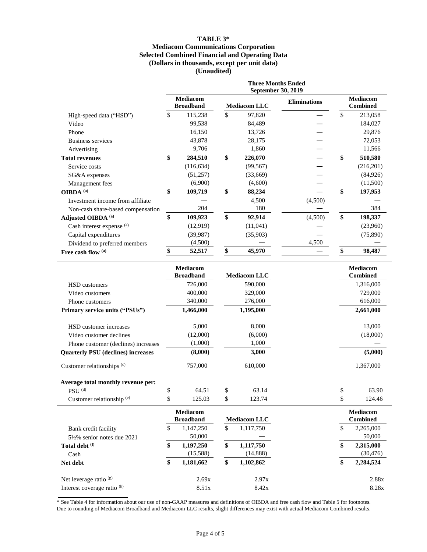# **TABLE 3\* Mediacom Communications Corporation Selected Combined Financial and Operating Data (Dollars in thousands, except per unit data) (Unaudited)**

|                                   | <b>Three Months Ended</b><br><b>September 30, 2019</b> |                                     |    |                     |                     |                                    |           |
|-----------------------------------|--------------------------------------------------------|-------------------------------------|----|---------------------|---------------------|------------------------------------|-----------|
|                                   |                                                        | <b>Mediacom</b><br><b>Broadband</b> |    | <b>Mediacom LLC</b> | <b>Eliminations</b> | <b>Mediacom</b><br><b>Combined</b> |           |
| High-speed data ("HSD")           | \$                                                     | 115,238                             | \$ | 97,820              |                     | \$                                 | 213,058   |
| Video                             |                                                        | 99,538                              |    | 84,489              |                     |                                    | 184,027   |
| Phone                             |                                                        | 16,150                              |    | 13,726              |                     |                                    | 29,876    |
| Business services                 |                                                        | 43,878                              |    | 28,175              |                     |                                    | 72,053    |
| Advertising                       |                                                        | 9,706                               |    | 1,860               |                     |                                    | 11,566    |
| <b>Total revenues</b>             | \$                                                     | 284,510                             | \$ | 226,070             |                     | \$                                 | 510,580   |
| Service costs                     |                                                        | (116, 634)                          |    | (99, 567)           |                     |                                    | (216,201) |
| SG&A expenses                     |                                                        | (51,257)                            |    | (33,669)            |                     |                                    | (84, 926) |
| Management fees                   |                                                        | (6,900)                             |    | (4,600)             |                     |                                    | (11,500)  |
| OIBDA <sup>(a)</sup>              | \$                                                     | 109,719                             | \$ | 88,234              |                     | \$                                 | 197,953   |
| Investment income from affiliate  |                                                        |                                     |    | 4,500               | (4,500)             |                                    |           |
| Non-cash share-based compensation |                                                        | 204                                 |    | 180                 |                     |                                    | 384       |
| Adjusted OIBDA (a)                | \$                                                     | 109,923                             | \$ | 92,914              | (4,500)             | \$                                 | 198,337   |
| Cash interest expense (a)         |                                                        | (12,919)                            |    | (11,041)            |                     |                                    | (23,960)  |
| Capital expenditures              |                                                        | (39, 987)                           |    | (35,903)            |                     |                                    | (75,890)  |
| Dividend to preferred members     |                                                        | (4,500)                             |    |                     | 4,500               |                                    |           |
| Free cash flow (a)                |                                                        | 52,517                              | \$ | 45,970              |                     |                                    | 98,487    |

|                                           | <b>Mediacom</b><br><b>Broadband</b> | <b>Mediacom LLC</b> | <b>Mediacom</b><br><b>Combined</b> |
|-------------------------------------------|-------------------------------------|---------------------|------------------------------------|
| <b>HSD</b> customers                      | 726,000                             | 590,000             | 1,316,000                          |
| Video customers                           | 400,000                             | 329,000             | 729,000                            |
| Phone customers                           | 340,000                             | 276,000             | 616,000                            |
| Primary service units ("PSUs")            | 1,466,000                           | 1,195,000           | 2,661,000                          |
| HSD customer increases                    | 5,000                               | 8,000               | 13,000                             |
| Video customer declines                   | (12,000)                            | (6,000)             | (18,000)                           |
| Phone customer (declines) increases       | (1,000)                             | 1,000               |                                    |
| <b>Quarterly PSU</b> (declines) increases | (8,000)                             | 3,000               | (5,000)                            |
| Customer relationships (c)                | 757,000                             | 610,000             | 1,367,000                          |
| Average total monthly revenue per:        |                                     |                     |                                    |
| $PSU$ <sup>(d)</sup>                      | \$<br>64.51                         | \$<br>63.14         | \$<br>63.90                        |
| Customer relationship (e)                 | \$<br>125.03                        | \$<br>123.74        | \$<br>124.46                       |
|                                           | <b>Mediacom</b><br><b>Broadband</b> | <b>Mediacom LLC</b> | <b>Mediacom</b><br><b>Combined</b> |
| Bank credit facility                      | \$<br>1,147,250                     | \$<br>1,117,750     | \$<br>2,265,000                    |
| $5\frac{1}{2}\%$ senior notes due 2021    | 50,000                              |                     | 50,000                             |
| Total debt (f)                            | \$<br>1,197,250                     | \$<br>1,117,750     | \$<br>2,315,000                    |
| Cash                                      | (15,588)                            | (14,888)            | (30, 476)                          |
| Net debt                                  | \$<br>1,181,662                     | \$<br>1,102,862     | \$<br>2,284,524                    |

\* See Table 4 for information about our use of non-GAAP measures and definitions of OIBDA and free cash flow and Table 5 for footnotes. Due to rounding of Mediacom Broadband and Mediacom LLC results, slight differences may exist with actual Mediacom Combined results.

Net leverage ratio (g) 2.69x 2.97x 2.88x Interest coverage ratio (h) 8.51x 8.42x 8.28x